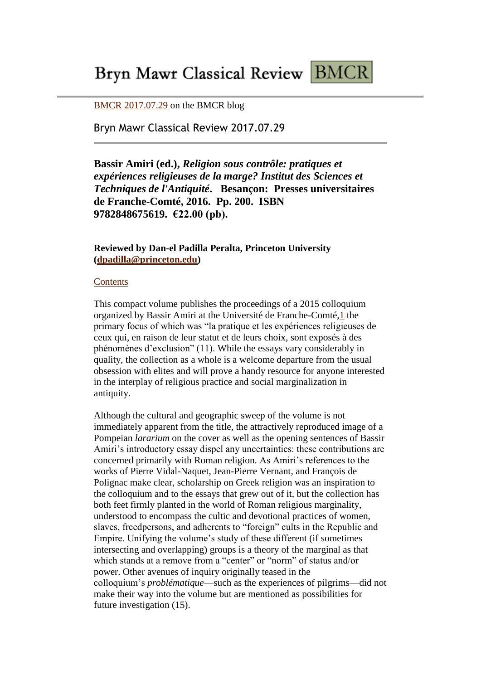# Bryn Mawr Classical Review BMCR

[BMCR 2017.07.29](http://brynmawr.us1.list-manage2.com/track/click?u=c302ee634698194cc76ef8a8b&id=e5c28b3cb5&e=a31f74ad88) on the BMCR blog

Bryn Mawr Classical Review 2017.07.29

**Bassir Amiri (ed.),** *Religion sous contrôle: pratiques et expériences religieuses de la marge? Institut des Sciences et Techniques de l'Antiquité***. Besançon: Presses universitaires de Franche-Comté, 2016. Pp. 200. ISBN 9782848675619. €22.00 (pb).** 

## **Reviewed by Dan-el Padilla Peralta, Princeton University [\(dpadilla@princeton.edu\)](mailto:dpadilla@princeton.edu)**

#### **[Contents](http://brynmawr.us1.list-manage1.com/track/click?u=c302ee634698194cc76ef8a8b&id=990d3ffa1e&e=a31f74ad88)**

This compact volume publishes the proceedings of a 2015 colloquium organized by Bassir Amiri at the Université de Franche-Comté[,1](x-msg://62/#n1) the primary focus of which was "la pratique et les expériences religieuses de ceux qui, en raison de leur statut et de leurs choix, sont exposés à des phénomènes d'exclusion" (11). While the essays vary considerably in quality, the collection as a whole is a welcome departure from the usual obsession with elites and will prove a handy resource for anyone interested in the interplay of religious practice and social marginalization in antiquity.

Although the cultural and geographic sweep of the volume is not immediately apparent from the title, the attractively reproduced image of a Pompeian *lararium* on the cover as well as the opening sentences of Bassir Amiri's introductory essay dispel any uncertainties: these contributions are concerned primarily with Roman religion. As Amiri's references to the works of Pierre Vidal-Naquet, Jean-Pierre Vernant, and François de Polignac make clear, scholarship on Greek religion was an inspiration to the colloquium and to the essays that grew out of it, but the collection has both feet firmly planted in the world of Roman religious marginality, understood to encompass the cultic and devotional practices of women, slaves, freedpersons, and adherents to "foreign" cults in the Republic and Empire. Unifying the volume's study of these different (if sometimes intersecting and overlapping) groups is a theory of the marginal as that which stands at a remove from a "center" or "norm" of status and/or power. Other avenues of inquiry originally teased in the colloquium's *problématique*—such as the experiences of pilgrims—did not make their way into the volume but are mentioned as possibilities for future investigation (15).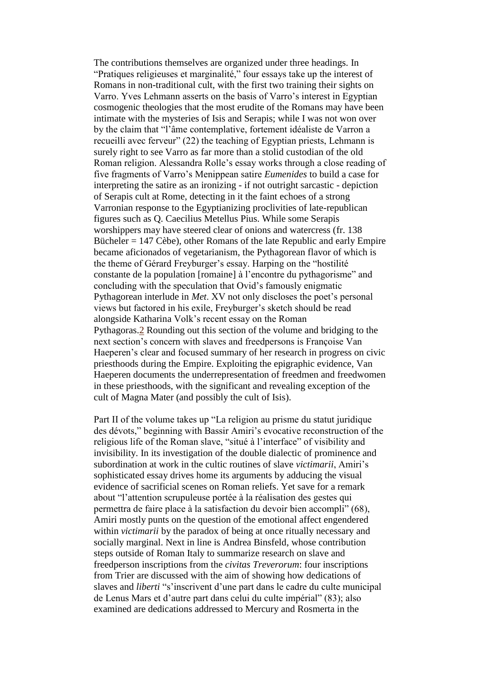The contributions themselves are organized under three headings. In "Pratiques religieuses et marginalité," four essays take up the interest of Romans in non-traditional cult, with the first two training their sights on Varro. Yves Lehmann asserts on the basis of Varro's interest in Egyptian cosmogenic theologies that the most erudite of the Romans may have been intimate with the mysteries of Isis and Serapis; while I was not won over by the claim that "l'âme contemplative, fortement idéaliste de Varron a recueilli avec ferveur" (22) the teaching of Egyptian priests, Lehmann is surely right to see Varro as far more than a stolid custodian of the old Roman religion. Alessandra Rolle's essay works through a close reading of five fragments of Varro's Menippean satire *Eumenides* to build a case for interpreting the satire as an ironizing - if not outright sarcastic - depiction of Serapis cult at Rome, detecting in it the faint echoes of a strong Varronian response to the Egyptianizing proclivities of late-republican figures such as Q. Caecilius Metellus Pius. While some Serapis worshippers may have steered clear of onions and watercress (fr. 138 Bücheler = 147 Cèbe), other Romans of the late Republic and early Empire became aficionados of vegetarianism, the Pythagorean flavor of which is the theme of Gérard Freyburger's essay. Harping on the "hostilité constante de la population [romaine] à l'encontre du pythagorisme" and concluding with the speculation that Ovid's famously enigmatic Pythagorean interlude in *Met*. XV not only discloses the poet's personal views but factored in his exile, Freyburger's sketch should be read alongside Katharina Volk's recent essay on the Roman Pythagoras[.2](x-msg://62/#n2) Rounding out this section of the volume and bridging to the next section's concern with slaves and freedpersons is Françoise Van Haeperen's clear and focused summary of her research in progress on civic priesthoods during the Empire. Exploiting the epigraphic evidence, Van Haeperen documents the underrepresentation of freedmen and freedwomen in these priesthoods, with the significant and revealing exception of the cult of Magna Mater (and possibly the cult of Isis).

Part II of the volume takes up "La religion au prisme du statut juridique des dévots," beginning with Bassir Amiri's evocative reconstruction of the religious life of the Roman slave, "situé à l'interface" of visibility and invisibility. In its investigation of the double dialectic of prominence and subordination at work in the cultic routines of slave *victimarii*, Amiri's sophisticated essay drives home its arguments by adducing the visual evidence of sacrificial scenes on Roman reliefs. Yet save for a remark about "l'attention scrupuleuse portée à la réalisation des gestes qui permettra de faire place à la satisfaction du devoir bien accompli" (68), Amiri mostly punts on the question of the emotional affect engendered within *victimarii* by the paradox of being at once ritually necessary and socially marginal. Next in line is Andrea Binsfeld, whose contribution steps outside of Roman Italy to summarize research on slave and freedperson inscriptions from the *civitas Treverorum*: four inscriptions from Trier are discussed with the aim of showing how dedications of slaves and *liberti* "s'inscrivent d'une part dans le cadre du culte municipal de Lenus Mars et d'autre part dans celui du culte impérial" (83); also examined are dedications addressed to Mercury and Rosmerta in the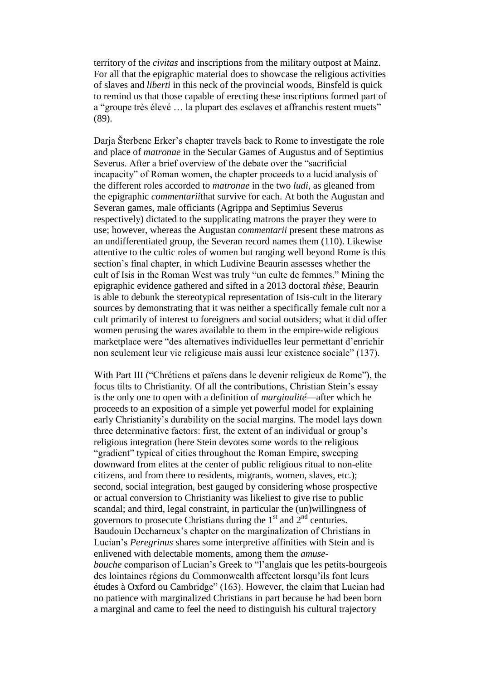territory of the *civitas* and inscriptions from the military outpost at Mainz. For all that the epigraphic material does to showcase the religious activities of slaves and *liberti* in this neck of the provincial woods, Binsfeld is quick to remind us that those capable of erecting these inscriptions formed part of a "groupe très élevé … la plupart des esclaves et affranchis restent muets" (89).

Darja Šterbenc Erker's chapter travels back to Rome to investigate the role and place of *matronae* in the Secular Games of Augustus and of Septimius Severus. After a brief overview of the debate over the "sacrificial incapacity" of Roman women, the chapter proceeds to a lucid analysis of the different roles accorded to *matronae* in the two *ludi*, as gleaned from the epigraphic *commentarii*that survive for each. At both the Augustan and Severan games, male officiants (Agrippa and Septimius Severus respectively) dictated to the supplicating matrons the prayer they were to use; however, whereas the Augustan *commentarii* present these matrons as an undifferentiated group, the Severan record names them (110). Likewise attentive to the cultic roles of women but ranging well beyond Rome is this section's final chapter, in which Ludivine Beaurin assesses whether the cult of Isis in the Roman West was truly "un culte de femmes." Mining the epigraphic evidence gathered and sifted in a 2013 doctoral *thèse*, Beaurin is able to debunk the stereotypical representation of Isis-cult in the literary sources by demonstrating that it was neither a specifically female cult nor a cult primarily of interest to foreigners and social outsiders; what it did offer women perusing the wares available to them in the empire-wide religious marketplace were "des alternatives individuelles leur permettant d'enrichir non seulement leur vie religieuse mais aussi leur existence sociale" (137).

With Part III ("Chrétiens et païens dans le devenir religieux de Rome"), the focus tilts to Christianity. Of all the contributions, Christian Stein's essay is the only one to open with a definition of *marginalité*—after which he proceeds to an exposition of a simple yet powerful model for explaining early Christianity's durability on the social margins. The model lays down three determinative factors: first, the extent of an individual or group's religious integration (here Stein devotes some words to the religious "gradient" typical of cities throughout the Roman Empire, sweeping downward from elites at the center of public religious ritual to non-elite citizens, and from there to residents, migrants, women, slaves, etc.); second, social integration, best gauged by considering whose prospective or actual conversion to Christianity was likeliest to give rise to public scandal; and third, legal constraint, in particular the (un)willingness of governors to prosecute Christians during the  $1<sup>st</sup>$  and  $2<sup>nd</sup>$  centuries. Baudouin Decharneux's chapter on the marginalization of Christians in Lucian's *Peregrinus* shares some interpretive affinities with Stein and is enlivened with delectable moments, among them the *amusebouche* comparison of Lucian's Greek to "l'anglais que les petits-bourgeois des lointaines régions du Commonwealth affectent lorsqu'ils font leurs études à Oxford ou Cambridge" (163). However, the claim that Lucian had no patience with marginalized Christians in part because he had been born a marginal and came to feel the need to distinguish his cultural trajectory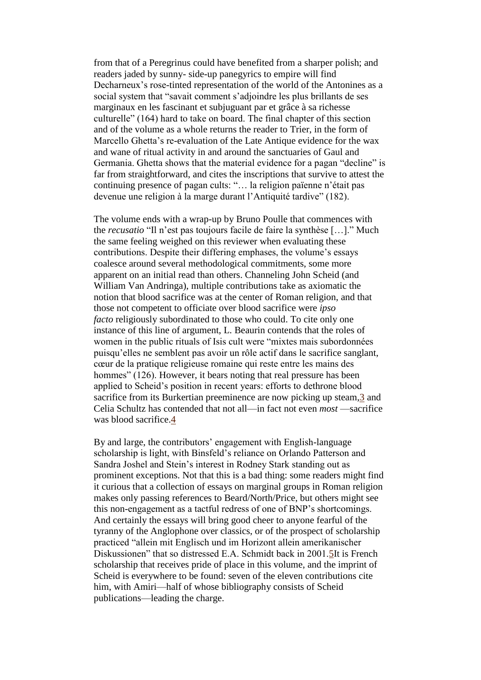from that of a Peregrinus could have benefited from a sharper polish; and readers jaded by sunny- side-up panegyrics to empire will find Decharneux's rose-tinted representation of the world of the Antonines as a social system that "savait comment s'adjoindre les plus brillants de ses marginaux en les fascinant et subjuguant par et grâce à sa richesse culturelle" (164) hard to take on board. The final chapter of this section and of the volume as a whole returns the reader to Trier, in the form of Marcello Ghetta's re-evaluation of the Late Antique evidence for the wax and wane of ritual activity in and around the sanctuaries of Gaul and Germania. Ghetta shows that the material evidence for a pagan "decline" is far from straightforward, and cites the inscriptions that survive to attest the continuing presence of pagan cults: "… la religion païenne n'était pas devenue une religion à la marge durant l'Antiquité tardive" (182).

The volume ends with a wrap-up by Bruno Poulle that commences with the *recusatio* "Il n'est pas toujours facile de faire la synthèse […]." Much the same feeling weighed on this reviewer when evaluating these contributions. Despite their differing emphases, the volume's essays coalesce around several methodological commitments, some more apparent on an initial read than others. Channeling John Scheid (and William Van Andringa), multiple contributions take as axiomatic the notion that blood sacrifice was at the center of Roman religion, and that those not competent to officiate over blood sacrifice were *ipso facto* religiously subordinated to those who could. To cite only one instance of this line of argument, L. Beaurin contends that the roles of women in the public rituals of Isis cult were "mixtes mais subordonnées puisqu'elles ne semblent pas avoir un rôle actif dans le sacrifice sanglant, cœur de la pratique religieuse romaine qui reste entre les mains des hommes" (126). However, it bears noting that real pressure has been applied to Scheid's position in recent years: efforts to dethrone blood sacrifice from its Burkertian preeminence are now picking up steam[,3](x-msg://62/#n3) and Celia Schultz has contended that not all—in fact not even *most* —sacrifice was blood sacrifice[.4](x-msg://62/#n4)

By and large, the contributors' engagement with English-language scholarship is light, with Binsfeld's reliance on Orlando Patterson and Sandra Joshel and Stein's interest in Rodney Stark standing out as prominent exceptions. Not that this is a bad thing: some readers might find it curious that a collection of essays on marginal groups in Roman religion makes only passing references to Beard/North/Price, but others might see this non-engagement as a tactful redress of one of BNP's shortcomings. And certainly the essays will bring good cheer to anyone fearful of the tyranny of the Anglophone over classics, or of the prospect of scholarship practiced "allein mit Englisch und im Horizont allein amerikanischer Diskussionen" that so distressed E.A. Schmidt back in 2001[.5I](x-msg://62/#n5)t is French scholarship that receives pride of place in this volume, and the imprint of Scheid is everywhere to be found: seven of the eleven contributions cite him, with Amiri—half of whose bibliography consists of Scheid publications—leading the charge.